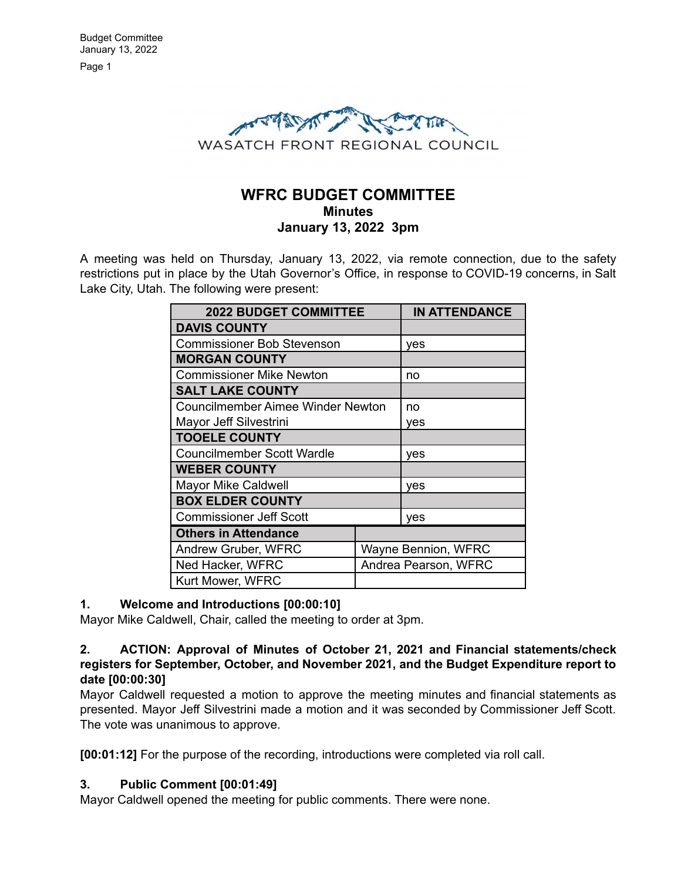

# **WFRC BUDGET COMMITTEE Minutes January 13, 2022 3pm**

A meeting was held on Thursday, January 13, 2022, via remote connection, due to the safety restrictions put in place by the Utah Governor's Office, in response to COVID-19 concerns, in Salt Lake City, Utah. The following were present:

| <b>2022 BUDGET COMMITTEE</b>             |  | <b>IN ATTENDANCE</b> |
|------------------------------------------|--|----------------------|
| <b>DAVIS COUNTY</b>                      |  |                      |
| <b>Commissioner Bob Stevenson</b>        |  | yes                  |
| <b>MORGAN COUNTY</b>                     |  |                      |
| <b>Commissioner Mike Newton</b>          |  | no                   |
| <b>SALT LAKE COUNTY</b>                  |  |                      |
| <b>Councilmember Aimee Winder Newton</b> |  | no                   |
| Mayor Jeff Silvestrini                   |  | yes                  |
| <b>TOOELE COUNTY</b>                     |  |                      |
| <b>Councilmember Scott Wardle</b>        |  | yes                  |
| <b>WEBER COUNTY</b>                      |  |                      |
| <b>Mayor Mike Caldwell</b>               |  | yes                  |
| <b>BOX ELDER COUNTY</b>                  |  |                      |
| <b>Commissioner Jeff Scott</b>           |  | yes                  |
| <b>Others in Attendance</b>              |  |                      |
| Andrew Gruber, WFRC                      |  | Wayne Bennion, WFRC  |
| Ned Hacker, WFRC                         |  | Andrea Pearson, WFRC |
| Kurt Mower, WFRC                         |  |                      |

### **1. Welcome and Introductions [00:00:10]**

Mayor Mike Caldwell, Chair, called the meeting to order at 3pm.

# **2. ACTION: Approval of Minutes of October 21, 2021 and Financial statements/check registers for September, October, and November 2021, and the Budget Expenditure report to date [00:00:30]**

Mayor Caldwell requested a motion to approve the meeting minutes and financial statements as presented. Mayor Jeff Silvestrini made a motion and it was seconded by Commissioner Jeff Scott. The vote was unanimous to approve.

**[00:01:12]** For the purpose of the recording, introductions were completed via roll call.

### **3. Public Comment [00:01:49]**

Mayor Caldwell opened the meeting for public comments. There were none.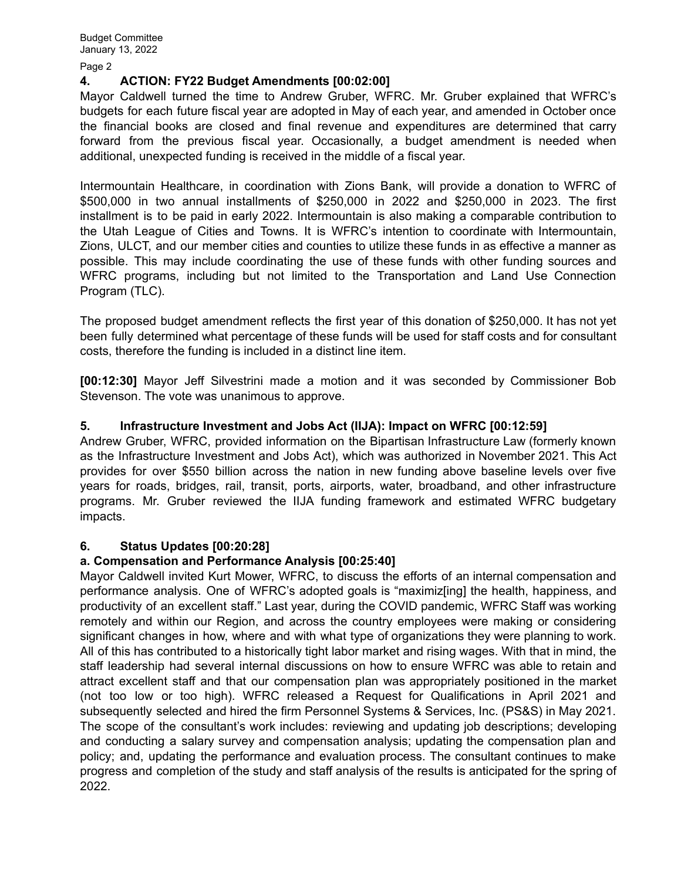Page 2

### **4. ACTION: FY22 Budget Amendments [00:02:00]**

Mayor Caldwell turned the time to Andrew Gruber, WFRC. Mr. Gruber explained that WFRC's budgets for each future fiscal year are adopted in May of each year, and amended in October once the financial books are closed and final revenue and expenditures are determined that carry forward from the previous fiscal year. Occasionally, a budget amendment is needed when additional, unexpected funding is received in the middle of a fiscal year.

Intermountain Healthcare, in coordination with Zions Bank, will provide a donation to WFRC of \$500,000 in two annual installments of \$250,000 in 2022 and \$250,000 in 2023. The first installment is to be paid in early 2022. Intermountain is also making a comparable contribution to the Utah League of Cities and Towns. It is WFRC's intention to coordinate with Intermountain, Zions, ULCT, and our member cities and counties to utilize these funds in as effective a manner as possible. This may include coordinating the use of these funds with other funding sources and WFRC programs, including but not limited to the Transportation and Land Use Connection Program (TLC).

The proposed budget amendment reflects the first year of this donation of \$250,000. It has not yet been fully determined what percentage of these funds will be used for staff costs and for consultant costs, therefore the funding is included in a distinct line item.

**[00:12:30]** Mayor Jeff Silvestrini made a motion and it was seconded by Commissioner Bob Stevenson. The vote was unanimous to approve.

# **5. Infrastructure Investment and Jobs Act (IIJA): Impact on WFRC [00:12:59]**

Andrew Gruber, WFRC, provided information on the Bipartisan Infrastructure Law (formerly known as the Infrastructure Investment and Jobs Act), which was authorized in November 2021. This Act provides for over \$550 billion across the nation in new funding above baseline levels over five years for roads, bridges, rail, transit, ports, airports, water, broadband, and other infrastructure programs. Mr. Gruber reviewed the IIJA funding framework and estimated WFRC budgetary impacts.

### **6. Status Updates [00:20:28]**

### **a. Compensation and Performance Analysis [00:25:40]**

Mayor Caldwell invited Kurt Mower, WFRC, to discuss the efforts of an internal compensation and performance analysis. One of WFRC's adopted goals is "maximiz[ing] the health, happiness, and productivity of an excellent staff." Last year, during the COVID pandemic, WFRC Staff was working remotely and within our Region, and across the country employees were making or considering significant changes in how, where and with what type of organizations they were planning to work. All of this has contributed to a historically tight labor market and rising wages. With that in mind, the staff leadership had several internal discussions on how to ensure WFRC was able to retain and attract excellent staff and that our compensation plan was appropriately positioned in the market (not too low or too high). WFRC released a Request for Qualifications in April 2021 and subsequently selected and hired the firm Personnel Systems & Services, Inc. (PS&S) in May 2021. The scope of the consultant's work includes: reviewing and updating job descriptions; developing and conducting a salary survey and compensation analysis; updating the compensation plan and policy; and, updating the performance and evaluation process. The consultant continues to make progress and completion of the study and staff analysis of the results is anticipated for the spring of 2022.